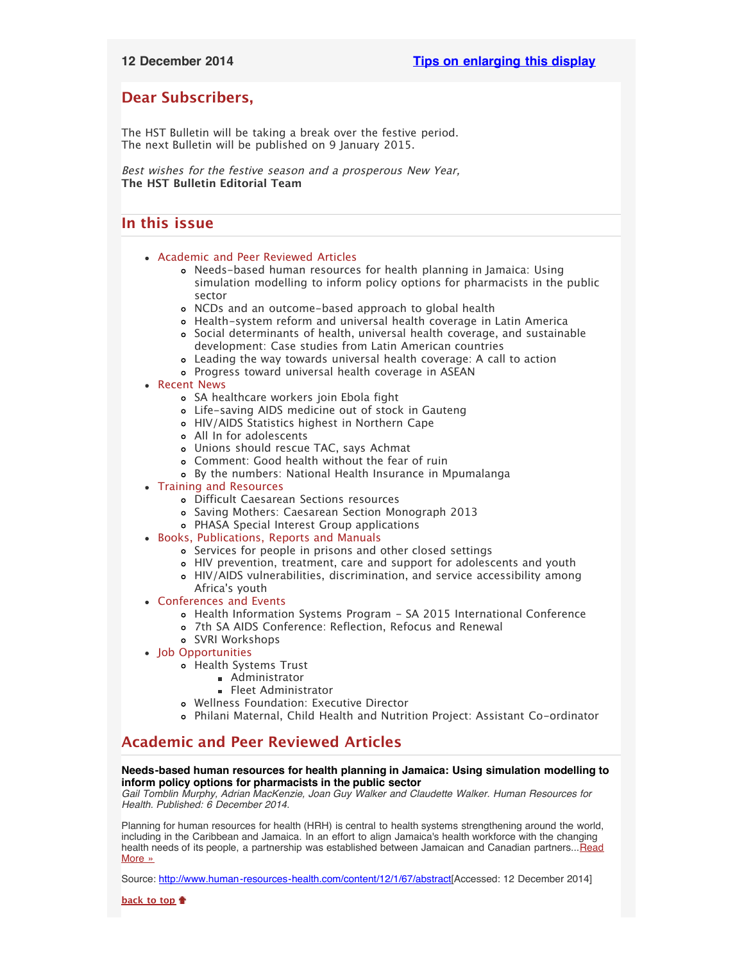# <span id="page-0-2"></span>**Dear Subscribers,**

The HST Bulletin will be taking a break over the festive period. The next Bulletin will be published on 9 January 2015.

Best wishes for the festive season and a prosperous New Year, **The HST Bulletin Editorial Team**

# <span id="page-0-3"></span>**In this issue**

- [Academic and Peer Reviewed Articles](#page-0-0)
	- [Needs-based human resources for health planning in Jamaica: Using](#page-0-1) [simulation modelling to inform policy options for pharmacists in the public](#page-0-1) [sector](#page-0-1)
	- [NCDs and an outcome-based approach to global health](#page-1-0)
	- [Health-system reform and universal health coverage in Latin America](#page-1-1)
	- [Social determinants of health, universal health coverage, and sustainable](#page-1-2) [development: Case studies from Latin American countries](#page-1-2)
	- [Leading the way towards universal health coverage: A call to action](#page-1-3)
	- [Progress toward universal health coverage in ASEAN](#page-1-4)
- [Recent News](#page-1-5)
	- [SA healthcare workers join Ebola fight](#page-1-6)
	- [Life-saving AIDS medicine out of stock in Gauteng](#page-1-7)
	- [HIV/AIDS Statistics highest in Northern Cape](#page-2-0)
	- [All In for adolescents](#page-2-1)
	- [Unions should rescue TAC, says Achmat](#page-2-2)
	- [Comment: Good health without the fear of ruin](#page-2-3)
	- [By the numbers: National Health Insurance in Mpumalanga](#page-2-4)
- [Training and Resources](#page-2-5)
	- [Difficult Caesarean Sections resources](#page-2-6)
	- [Saving Mothers: Caesarean Section Monograph 2013](#page-2-7)
	- [PHASA Special Interest Group applications](#page-3-0)
- [Books, Publications, Reports and Manuals](#page-3-1)
	- [Services for people in prisons and other closed settings](#page-3-2)
	- [HIV prevention, treatment, care and support for adolescents and youth](#page-3-3)
	- [HIV/AIDS vulnerabilities, discrimination, and service accessibility among](#page-3-4) Africa['s youth](#page-3-4)
- [Conferences and Events](#page-3-5)
	- [Health Information Systems Program SA 2015 International Conference](#page-3-6)
	- [7th SA AIDS Conference: Reflection, Refocus and Renewal](#page-3-7)
	- [SVRI Workshops](#page-3-8)
- [Job Opportunities](#page-4-0)
	- [Health Systems Trust](#page-4-1)
		- **[Administrator](#page-0-2)**
		- **[Fleet Administrator](#page-4-2)**
	- [Wellness Foundation: Executive Director](#page-4-3)
	- [Philani Maternal, Child Health and Nutrition Project: Assistant Co-ordinator](#page-0-2)

# <span id="page-0-0"></span>**Academic and Peer Reviewed Articles**

# <span id="page-0-1"></span>**Needs-based human resources for health planning in Jamaica: Using simulation modelling to inform policy options for pharmacists in the public sector**

*Gail Tomblin Murphy, Adrian MacKenzie, Joan Guy Walker and Claudette Walker. Human Resources for Health. Published: 6 December 2014.*

Planning for human resources for health (HRH) is central to health systems strengthening around the world, including in the Caribbean and Jamaica. In an effort to align Jamaica's health workforce with the changing health needs of its people, a partnership was established between Jamaican and Canadian partners... [Read](http://www.human-resources-health.com/content/12/1/67/abstract) [More »](http://www.human-resources-health.com/content/12/1/67/abstract)

Source: [http://www.human-resources-health.com/content/12/1/67/abstract\[](http://www.human-resources-health.com/content/12/1/67/abstract)Accessed: 12 December 2014]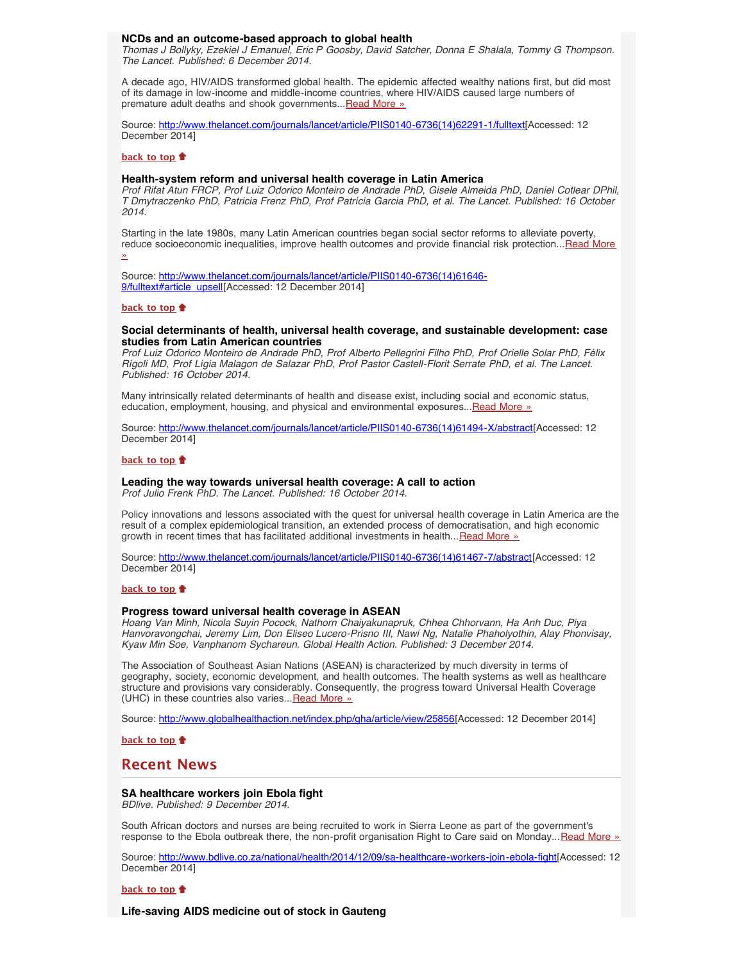### <span id="page-1-0"></span>**NCDs and an outcome-based approach to global health**

*Thomas J Bollyky, Ezekiel J Emanuel, Eric P Goosby, David Satcher, Donna E Shalala, Tommy G Thompson. The Lancet. Published: 6 December 2014.*

A decade ago, HIV/AIDS transformed global health. The epidemic affected wealthy nations first, but did most of its damage in low-income and middle-income countries, where HIV/AIDS caused large numbers of premature adult deaths and shook governments... [Read More »](http://www.thelancet.com/journals/lancet/article/PIIS0140-6736(14)62291-1/fulltext)

Source: [http://www.thelancet.com/journals/lancet/article/PIIS0140-6736\(14\)62291-1/fulltext\[](http://www.thelancet.com/journals/lancet/article/PIIS0140-6736(14)62291-1/fulltext)Accessed: 12 December 2014]

### **[back to top](#page-0-3)**

# <span id="page-1-1"></span>**Health-system reform and universal health coverage in Latin America**

*Prof Rifat Atun FRCP, Prof Luiz Odorico Monteiro de Andrade PhD, Gisele Almeida PhD, Daniel Cotlear DPhil, T Dmytraczenko PhD, Patricia Frenz PhD, Prof Patrícia Garcia PhD, et al. The Lancet. Published: 16 October 2014.*

Starting in the late 1980s, many Latin American countries began social sector reforms to alleviate poverty, reduce socioeconomic inequalities, improve health outcomes and provide financial risk protection... [Read More](http://www.thelancet.com/journals/lancet/article/PIIS0140-6736(14)61646-9/fulltext#article_upsell) [»](http://www.thelancet.com/journals/lancet/article/PIIS0140-6736(14)61646-9/fulltext#article_upsell)

Source: [http://www.thelancet.com/journals/lancet/article/PIIS0140-6736\(14\)61646-](http://www.thelancet.com/journals/lancet/article/PIIS0140-6736(14)61646-9/fulltext#article_upsell) [9/fulltext#article\\_upsell](http://www.thelancet.com/journals/lancet/article/PIIS0140-6736(14)61646-9/fulltext#article_upsell)[Accessed: 12 December 2014]

### **[back to top](#page-0-3)**

### <span id="page-1-2"></span>**Social determinants of health, universal health coverage, and sustainable development: case studies from Latin American countries**

*Prof Luiz Odorico Monteiro de Andrade PhD, Prof Alberto Pellegrini Filho PhD, Prof Orielle Solar PhD, Félix Rígoli MD, Prof Lígia Malagon de Salazar PhD, Prof Pastor Castell-Florit Serrate PhD, et al. The Lancet. Published: 16 October 2014.*

Many intrinsically related determinants of health and disease exist, including social and economic status, education, employment, housing, and physical and environmental exposures... [Read More »](http://www.thelancet.com/journals/lancet/article/PIIS0140-6736(14)61494-X/abstract)

Source: [http://www.thelancet.com/journals/lancet/article/PIIS0140-6736\(14\)61494-X/abstract](http://www.thelancet.com/journals/lancet/article/PIIS0140-6736(14)61494-X/abstract)[Accessed: 12 December 2014]

### **[back to top](#page-0-3)**

# <span id="page-1-3"></span>**Leading the way towards universal health coverage: A call to action**

*Prof Julio Frenk PhD. The Lancet. Published: 16 October 2014.*

Policy innovations and lessons associated with the quest for universal health coverage in Latin America are the result of a complex epidemiological transition, an extended process of democratisation, and high economic growth in recent times that has facilitated additional investments in health... [Read More »](http://www.thelancet.com/journals/lancet/article/PIIS0140-6736(14)61467-7/abstract)

Source: [http://www.thelancet.com/journals/lancet/article/PIIS0140-6736\(14\)61467-7/abstract\[](http://www.thelancet.com/journals/lancet/article/PIIS0140-6736(14)61467-7/abstract)Accessed: 12 December 2014]

#### **[back to top](#page-0-3)**

### <span id="page-1-4"></span>**Progress toward universal health coverage in ASEAN**

*Hoang Van Minh, Nicola Suyin Pocock, Nathorn Chaiyakunapruk, Chhea Chhorvann, Ha Anh Duc, Piya Hanvoravongchai, Jeremy Lim, Don Eliseo Lucero-Prisno III, Nawi Ng, Natalie Phaholyothin, Alay Phonvisay, Kyaw Min Soe, Vanphanom Sychareun. Global Health Action. Published: 3 December 2014.*

The Association of Southeast Asian Nations (ASEAN) is characterized by much diversity in terms of geography, society, economic development, and health outcomes. The health systems as well as healthcare structure and provisions vary considerably. Consequently, the progress toward Universal Health Coverage (UHC) in these countries also varies... [Read More »](http://www.globalhealthaction.net/index.php/gha/article/view/25856)

Source: [http://www.globalhealthaction.net/index.php/gha/article/view/25856\[](http://www.globalhealthaction.net/index.php/gha/article/view/25856)Accessed: 12 December 2014]

**[back to top](#page-0-3)**

# <span id="page-1-5"></span>**Recent News**

### <span id="page-1-6"></span>**SA healthcare workers join Ebola fight**

*BDlive. Published: 9 December 2014.*

South African doctors and nurses are being recruited to work in Sierra Leone as part of the government's response to the Ebola outbreak there, the non-profit organisation Right to Care said on Monday...[Read More »](http://www.bdlive.co.za/national/health/2014/12/09/sa-healthcare-workers-join-ebola-fight)

Source: [http://www.bdlive.co.za/national/health/2014/12/09/sa-healthcare-workers-join-ebola-fight\[](http://www.bdlive.co.za/national/health/2014/12/09/sa-healthcare-workers-join-ebola-fight)Accessed: 12 December 2014]

### **[back to top](#page-0-3)**

<span id="page-1-7"></span>**Life-saving AIDS medicine out of stock in Gauteng**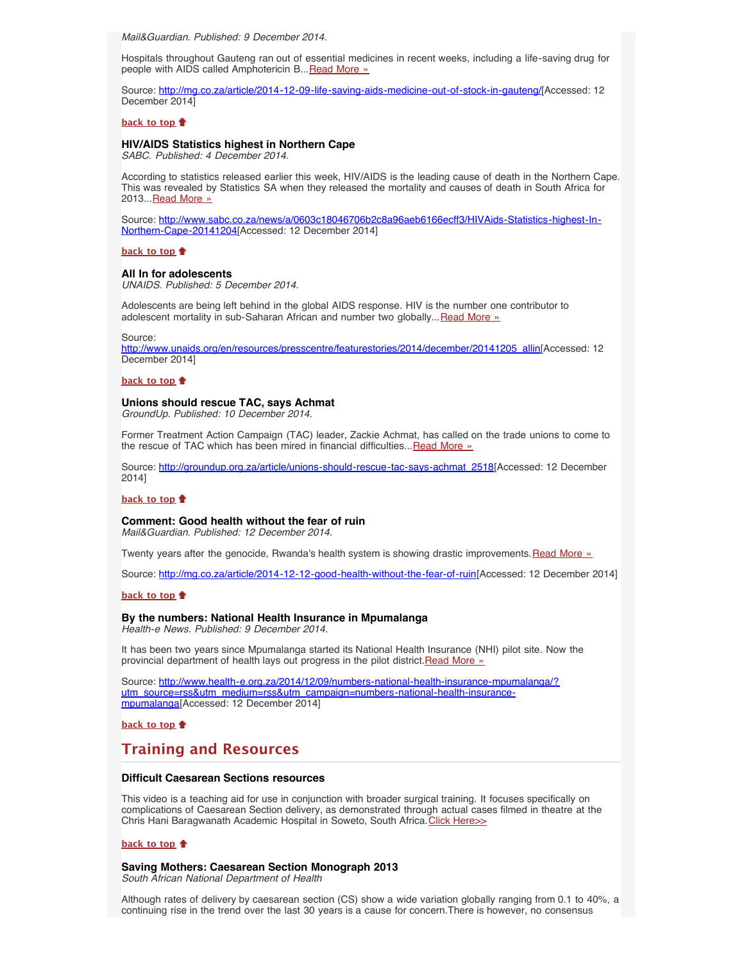*Mail&Guardian. Published: 9 December 2014.*

Hospitals throughout Gauteng ran out of essential medicines in recent weeks, including a life-saving drug for people with AIDS called Amphotericin B... [Read More »](http://mg.co.za/article/2014-12-09-life-saving-aids-medicine-out-of-stock-in-gauteng/)

Source: [http://mg.co.za/article/2014-12-09-life-saving-aids-medicine-out-of-stock-in-gauteng/\[](http://mg.co.za/article/2014-12-09-life-saving-aids-medicine-out-of-stock-in-gauteng/)Accessed: 12 December 2014]

### **[back to top](#page-0-3)**

### <span id="page-2-0"></span>**HIV/AIDS Statistics highest in Northern Cape**

*SABC. Published: 4 December 2014.*

According to statistics released earlier this week, HIV/AIDS is the leading cause of death in the Northern Cape. This was revealed by Statistics SA when they released the mortality and causes of death in South Africa for 2013... [Read More »](http://www.sabc.co.za/news/a/0603c18046706b2c8a96aeb6166ecff3/HIVAids-Statistics-highest-In-Northern-Cape-20141204)

Source: [http://www.sabc.co.za/news/a/0603c18046706b2c8a96aeb6166ecff3/HIVAids-Statistics-highest-In-](http://www.sabc.co.za/news/a/0603c18046706b2c8a96aeb6166ecff3/HIVAids-Statistics-highest-In-Northern-Cape-20141204)[Northern-Cape-20141204](http://www.sabc.co.za/news/a/0603c18046706b2c8a96aeb6166ecff3/HIVAids-Statistics-highest-In-Northern-Cape-20141204)[Accessed: 12 December 2014]

#### **[back to top](#page-0-3)**

### <span id="page-2-1"></span>**All In for adolescents**

*UNAIDS. Published: 5 December 2014.*

Adolescents are being left behind in the global AIDS response. HIV is the number one contributor to adolescent mortality in sub-Saharan African and number two globally... [Read More »](http://www.unaids.org/en/resources/presscentre/featurestories/2014/december/20141205_allin)

Source:

[http://www.unaids.org/en/resources/presscentre/featurestories/2014/december/20141205\\_allin](http://www.unaids.org/en/resources/presscentre/featurestories/2014/december/20141205_allin)[Accessed: 12 December 2014]

#### **[back to top](#page-0-3)**

### <span id="page-2-2"></span>**Unions should rescue TAC, says Achmat**

*GroundUp. Published: 10 December 2014.*

Former Treatment Action Campaign (TAC) leader, Zackie Achmat, has called on the trade unions to come to the rescue of TAC which has been mired in financial difficulties... [Read More »](http://www.hst.org.za/news/unions-should-rescue-tac-says-achmat)

Source: [http://groundup.org.za/article/unions-should-rescue-tac-says-achmat\\_2518\[](http://groundup.org.za/article/unions-should-rescue-tac-says-achmat_2518)Accessed: 12 December 2014]

## **[back to top](#page-0-3)**

# <span id="page-2-3"></span>**Comment: Good health without the fear of ruin**

*Mail&Guardian. Published: 12 December 2014.*

Twenty years after the genocide, Rwanda's health system is showing drastic improvements. [Read More »](http://www.hst.org.za/news/comment-good-health-without-fear-ruin)

Source: [http://mg.co.za/article/2014-12-12-good-health-without-the-fear-of-ruin\[](http://mg.co.za/article/2014-12-12-good-health-without-the-fear-of-ruin)Accessed: 12 December 2014]

### **[back to top](#page-0-3)**

### <span id="page-2-4"></span>**By the numbers: National Health Insurance in Mpumalanga**

*Health-e News. Published: 9 December 2014.*

It has been two years since Mpumalanga started its National Health Insurance (NHI) pilot site. Now the provincial department of health lays out progress in the pilot district. [Read More »](http://www.hst.org.za/news/numbers-national-health-insurance-mpumalanga)

Source: [http://www.health-e.org.za/2014/12/09/numbers-national-health-insurance-mpumalanga/?](http://www.health-e.org.za/2014/12/09/numbers-national-health-insurance-mpumalanga/?utm_source=rss&utm_medium=rss&utm_campaign=numbers-national-health-insurance-mpumalanga) [utm\\_source=rss&utm\\_medium=rss&utm\\_campaign=numbers-national-health-insurance](http://www.health-e.org.za/2014/12/09/numbers-national-health-insurance-mpumalanga/?utm_source=rss&utm_medium=rss&utm_campaign=numbers-national-health-insurance-mpumalanga)[mpumalanga](http://www.health-e.org.za/2014/12/09/numbers-national-health-insurance-mpumalanga/?utm_source=rss&utm_medium=rss&utm_campaign=numbers-national-health-insurance-mpumalanga)[Accessed: 12 December 2014]

**[back to top](#page-0-3)**

# <span id="page-2-5"></span>**Training and Resources**

### <span id="page-2-6"></span>**Difficult Caesarean Sections resources**

This video is a teaching aid for use in conjunction with broader surgical training. It focuses specifically on complications of Caesarean Section delivery, as demonstrated through actual cases filmed in theatre at the Chris Hani Baragwanath Academic Hospital in Soweto, South Africa. [Click Here>>](https://www.youtube.com/watch?v=WpJVGFQpvnw)

#### **[back to top](#page-0-3)**

# <span id="page-2-7"></span>**Saving Mothers: Caesarean Section Monograph 2013**

*South African National Department of Health*

Although rates of delivery by caesarean section (CS) show a wide variation globally ranging from 0.1 to 40%, a continuing rise in the trend over the last 30 years is a cause for concern.There is however, no consensus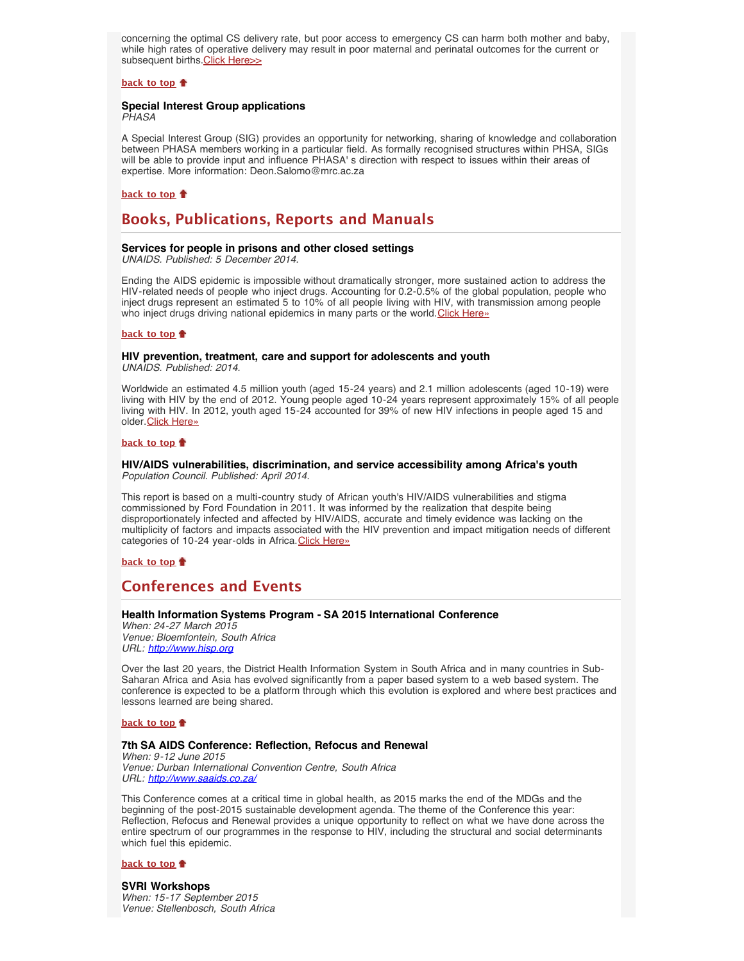concerning the optimal CS delivery rate, but poor access to emergency CS can harm both mother and baby, while high rates of operative delivery may result in poor maternal and perinatal outcomes for the current or subsequent births. [Click Here>>](http://www.hst.org.za/publications/saving-mothers-caesarean-section-monograph-2013)

### **[back to top](#page-0-3)**

# <span id="page-3-0"></span>**Special Interest Group applications**

*PHASA*

A Special Interest Group (SIG) provides an opportunity for networking, sharing of knowledge and collaboration between PHASA members working in a particular field. As formally recognised structures within PHSA, SIGs will be able to provide input and influence PHASA' s direction with respect to issues within their areas of expertise. More information: Deon.Salomo@mrc.ac.za

### **[back to top](#page-0-3)**

# <span id="page-3-1"></span>**Books, Publications, Reports and Manuals**

# <span id="page-3-2"></span>**Services for people in prisons and other closed settings**

*UNAIDS. Published: 5 December 2014.*

Ending the AIDS epidemic is impossible without dramatically stronger, more sustained action to address the HIV-related needs of people who inject drugs. Accounting for 0.2-0.5% of the global population, people who inject drugs represent an estimated 5 to 10% of all people living with HIV, with transmission among people who inject drugs driving national epidemics in many parts or the world. [Click Here»](http://www.unaids.org/en/resources/documents/2014/2014guidance_Servicesforpeopleinprisonsandotherclosedsettings)

### **[back to top](#page-0-3)**

# <span id="page-3-3"></span>**HIV prevention, treatment, care and support for adolescents and youth**

*UNAIDS. Published: 2014.*

Worldwide an estimated 4.5 million youth (aged 15-24 years) and 2.1 million adolescents (aged 10-19) were living with HIV by the end of 2012. Young people aged 10-24 years represent approximately 15% of all people living with HIV. In 2012, youth aged 15-24 accounted for 39% of new HIV infections in people aged 15 and older. [Click Here»](http://www.unaids.org/en/resources/documents/2014/2014_guidance_HIVservices_adolescents_youth)

# **[back to top](#page-0-3)**

### <span id="page-3-4"></span>**HIV/AIDS vulnerabilities, discrimination, and service accessibility among Africa's youth** *Population Council. Published: April 2014.*

This report is based on a multi-country study of African youth's HIV/AIDS vulnerabilities and stigma commissioned by Ford Foundation in 2011. It was informed by the realization that despite being disproportionately infected and affected by HIV/AIDS, accurate and timely evidence was lacking on the multiplicity of factors and impacts associated with the HIV prevention and impact mitigation needs of different categories of 10-24 year-olds in Africa. [Click Here»](http://www.popcouncil.org/uploads/pdfs/2014HIV_SixCountryYouthFinalReport.pdf)

**[back to top](#page-0-3)**

# <span id="page-3-5"></span>**Conferences and Events**

# <span id="page-3-6"></span>**Health Information Systems Program - SA 2015 International Conference**

*When: 24-27 March 2015 Venue: Bloemfontein, South Africa URL: [http://www.hisp.org](http://www.hisp.org/)*

Over the last 20 years, the District Health Information System in South Africa and in many countries in Sub-Saharan Africa and Asia has evolved significantly from a paper based system to a web based system. The conference is expected to be a platform through which this evolution is explored and where best practices and lessons learned are being shared.

### **[back to top](#page-0-3)**

### <span id="page-3-7"></span>**7th SA AIDS Conference: Reflection, Refocus and Renewal**

*When: 9-12 June 2015 Venue: Durban International Convention Centre, South Africa URL: <http://www.saaids.co.za/>*

This Conference comes at a critical time in global health, as 2015 marks the end of the MDGs and the beginning of the post-2015 sustainable development agenda. The theme of the Conference this year: Reflection, Refocus and Renewal provides a unique opportunity to reflect on what we have done across the entire spectrum of our programmes in the response to HIV, including the structural and social determinants which fuel this epidemic.

#### **[back to top](#page-0-3)**

<span id="page-3-8"></span>**SVRI Workshops** *When: 15-17 September 2015 Venue: Stellenbosch, South Africa*